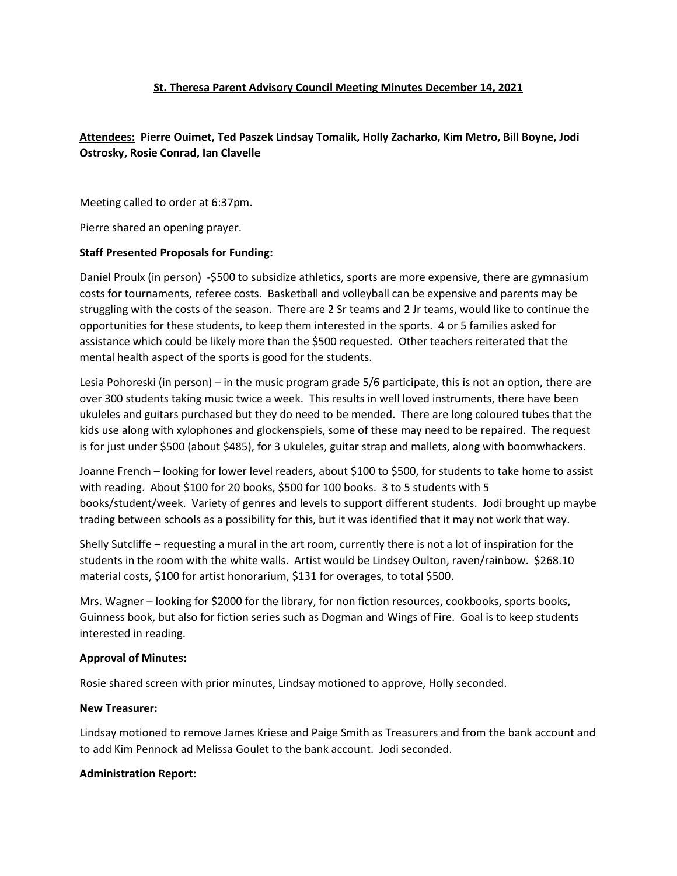### **St. Theresa Parent Advisory Council Meeting Minutes December 14, 2021**

# **Attendees: Pierre Ouimet, Ted Paszek Lindsay Tomalik, Holly Zacharko, Kim Metro, Bill Boyne, Jodi Ostrosky, Rosie Conrad, Ian Clavelle**

Meeting called to order at 6:37pm.

Pierre shared an opening prayer.

## **Staff Presented Proposals for Funding:**

Daniel Proulx (in person) -\$500 to subsidize athletics, sports are more expensive, there are gymnasium costs for tournaments, referee costs. Basketball and volleyball can be expensive and parents may be struggling with the costs of the season. There are 2 Sr teams and 2 Jr teams, would like to continue the opportunities for these students, to keep them interested in the sports. 4 or 5 families asked for assistance which could be likely more than the \$500 requested. Other teachers reiterated that the mental health aspect of the sports is good for the students.

Lesia Pohoreski (in person) – in the music program grade 5/6 participate, this is not an option, there are over 300 students taking music twice a week. This results in well loved instruments, there have been ukuleles and guitars purchased but they do need to be mended. There are long coloured tubes that the kids use along with xylophones and glockenspiels, some of these may need to be repaired. The request is for just under \$500 (about \$485), for 3 ukuleles, guitar strap and mallets, along with boomwhackers.

Joanne French – looking for lower level readers, about \$100 to \$500, for students to take home to assist with reading. About \$100 for 20 books, \$500 for 100 books. 3 to 5 students with 5 books/student/week. Variety of genres and levels to support different students. Jodi brought up maybe trading between schools as a possibility for this, but it was identified that it may not work that way.

Shelly Sutcliffe – requesting a mural in the art room, currently there is not a lot of inspiration for the students in the room with the white walls. Artist would be Lindsey Oulton, raven/rainbow. \$268.10 material costs, \$100 for artist honorarium, \$131 for overages, to total \$500.

Mrs. Wagner – looking for \$2000 for the library, for non fiction resources, cookbooks, sports books, Guinness book, but also for fiction series such as Dogman and Wings of Fire. Goal is to keep students interested in reading.

### **Approval of Minutes:**

Rosie shared screen with prior minutes, Lindsay motioned to approve, Holly seconded.

### **New Treasurer:**

Lindsay motioned to remove James Kriese and Paige Smith as Treasurers and from the bank account and to add Kim Pennock ad Melissa Goulet to the bank account. Jodi seconded.

### **Administration Report:**